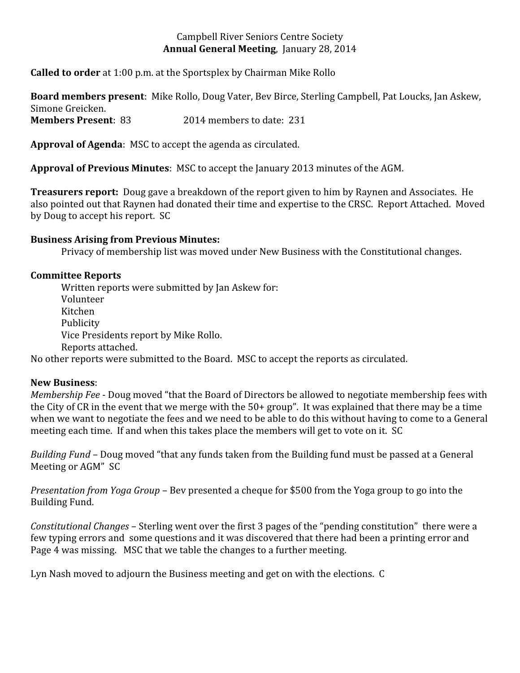### Campbell River Seniors Centre Society **Annual General Meeting**, January 28, 2014

**Called to order** at 1:00 p.m. at the Sportsplex by Chairman Mike Rollo

**Board members present**: Mike Rollo, Doug Vater, Bev Birce, Sterling Campbell, Pat Loucks, Jan Askew, Simone Greicken. **Members Present**: 83 2014 members to date: 231

**Approval of Agenda**: MSC to accept the agenda as circulated.

**Approval of Previous Minutes**: MSC to accept the January 2013 minutes of the AGM.

**Treasurers report:** Doug gave a breakdown of the report given to him by Raynen and Associates. He also pointed out that Raynen had donated their time and expertise to the CRSC. Report Attached. Moved by Doug to accept his report. SC

### **Business Arising from Previous Minutes:**

Privacy of membership list was moved under New Business with the Constitutional changes.

# **Committee Reports**

Written reports were submitted by Jan Askew for: Volunteer Kitchen Publicity Vice Presidents report by Mike Rollo. Reports attached.

No other reports were submitted to the Board. MSC to accept the reports as circulated.

### **New Business**:

*Membership Fee* - Doug moved "that the Board of Directors be allowed to negotiate membership fees with the City of CR in the event that we merge with the 50+ group". It was explained that there may be a time when we want to negotiate the fees and we need to be able to do this without having to come to a General meeting each time. If and when this takes place the members will get to vote on it. SC

*Building Fund* – Doug moved "that any funds taken from the Building fund must be passed at a General Meeting or AGM" SC

*Presentation from Yoga Group* – Bev presented a cheque for \$500 from the Yoga group to go into the Building Fund.

*Constitutional Changes* – Sterling went over the first 3 pages of the "pending constitution" there were a few typing errors and some questions and it was discovered that there had been a printing error and Page 4 was missing. MSC that we table the changes to a further meeting.

Lyn Nash moved to adjourn the Business meeting and get on with the elections. C